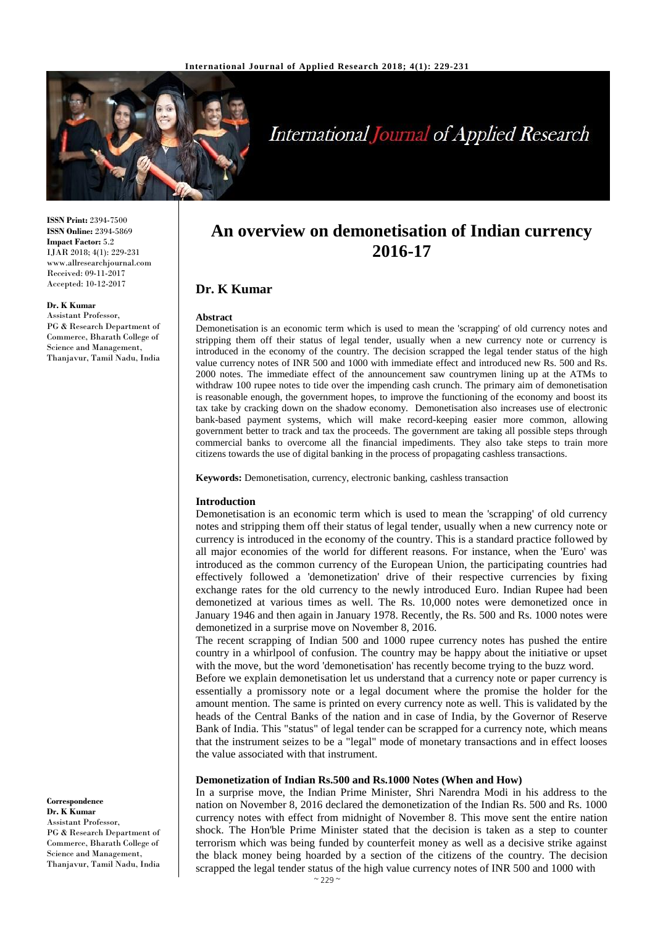

# **International Journal of Applied Research**

**ISSN Print:** 2394-7500 **ISSN Online:** 2394-5869 **Impact Factor:** 5.2 IJAR 2018; 4(1): 229-231 www.allresearchjournal.com Received: 09-11-2017 Accepted: 10-12-2017

#### **Dr. K Kumar**

Assistant Professor, PG & Research Department of Commerce, Bharath College of Science and Management, Thanjavur, Tamil Nadu, India

Demonetisation is an economic term which is used to mean the 'scrapping' of old currency notes and stripping them off their status of legal tender, usually when a new currency note or currency is introduced in the economy of the country. The decision scrapped the legal tender status of the high value currency notes of INR 500 and 1000 with immediate effect and introduced new Rs. 500 and Rs. 2000 notes. The immediate effect of the announcement saw countrymen lining up at the ATMs to withdraw 100 rupee notes to tide over the impending cash crunch. The primary aim of demonetisation is reasonable enough, the government hopes, to improve the functioning of the economy and boost its tax take by cracking down on the shadow economy. Demonetisation also increases use of electronic bank-based payment systems, which will make record-keeping easier more common, allowing government better to track and tax the proceeds. The government are taking all possible steps through commercial banks to overcome all the financial impediments. They also take steps to train more citizens towards the use of digital banking in the process of propagating cashless transactions.

**An overview on demonetisation of Indian currency 2016-17**

**Keywords:** Demonetisation, currency, electronic banking, cashless transaction

#### **Introduction**

**Dr. K Kumar**

**Abstract**

Demonetisation is an economic term which is used to mean the 'scrapping' of old currency notes and stripping them off their status of legal tender, usually when a new currency note or currency is introduced in the economy of the country. This is a standard practice followed by all major economies of the world for different reasons. For instance, when the 'Euro' was introduced as the common currency of the European Union, the participating countries had effectively followed a 'demonetization' drive of their respective currencies by fixing exchange rates for the old currency to the newly introduced Euro. Indian Rupee had been demonetized at various times as well. The Rs. 10,000 notes were demonetized once in January 1946 and then again in January 1978. Recently, the Rs. 500 and Rs. 1000 notes were demonetized in a surprise move on November 8, 2016.

The recent scrapping of Indian 500 and 1000 rupee currency notes has pushed the entire country in a whirlpool of confusion. The country may be happy about the initiative or upset with the move, but the word 'demonetisation' has recently become trying to the buzz word.

Before we explain demonetisation let us understand that a currency note or paper currency is essentially a promissory note or a legal document where the promise the holder for the amount mention. The same is printed on every currency note as well. This is validated by the heads of the Central Banks of the nation and in case of India, by the Governor of Reserve Bank of India. This "status" of legal tender can be scrapped for a currency note, which means that the instrument seizes to be a "legal" mode of monetary transactions and in effect looses the value associated with that instrument.

## **Demonetization of Indian Rs.500 and Rs.1000 Notes (When and How)**

In a surprise move, the Indian Prime Minister, Shri Narendra Modi in his address to the nation on November 8, 2016 declared the demonetization of the Indian Rs. 500 and Rs. 1000 currency notes with effect from midnight of November 8. This move sent the entire nation shock. The Hon'ble Prime Minister stated that the decision is taken as a step to counter terrorism which was being funded by counterfeit money as well as a decisive strike against the black money being hoarded by a section of the citizens of the country. The decision scrapped the legal tender status of the high value currency notes of INR 500 and 1000 with

**Correspondence Dr. K Kumar** Assistant Professor, PG & Research Department of Commerce, Bharath College of Science and Management, Thanjavur, Tamil Nadu, India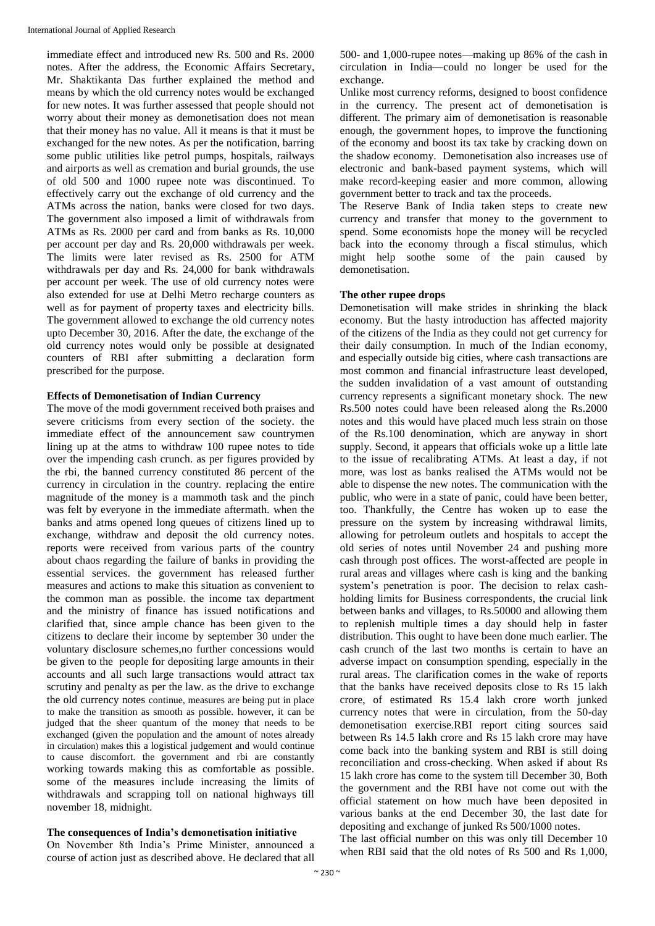immediate effect and introduced new Rs. 500 and Rs. 2000 notes. After the address, the Economic Affairs Secretary, Mr. Shaktikanta Das further explained the method and means by which the old currency notes would be exchanged for new notes. It was further assessed that people should not worry about their money as demonetisation does not mean that their money has no value. All it means is that it must be exchanged for the new notes. As per the notification, barring some public utilities like petrol pumps, hospitals, railways and airports as well as cremation and burial grounds, the use of old 500 and 1000 rupee note was discontinued. To effectively carry out the exchange of old currency and the ATMs across the nation, banks were closed for two days. The government also imposed a limit of withdrawals from ATMs as Rs. 2000 per card and from banks as Rs. 10,000 per account per day and Rs. 20,000 withdrawals per week. The limits were later revised as Rs. 2500 for ATM withdrawals per day and Rs. 24,000 for bank withdrawals per account per week. The use of old currency notes were also extended for use at Delhi Metro recharge counters as well as for payment of property taxes and electricity bills. The government allowed to exchange the old currency notes upto December 30, 2016. After the date, the exchange of the old currency notes would only be possible at designated counters of RBI after submitting a declaration form prescribed for the purpose.

#### **Effects of Demonetisation of Indian Currency**

The move of the modi government received both praises and severe criticisms from every section of the society. the immediate effect of the announcement saw countrymen lining up at the atms to withdraw 100 rupee notes to tide over the impending cash crunch. as per figures provided by the rbi, the banned currency constituted 86 percent of the currency in circulation in the country. replacing the entire magnitude of the money is a mammoth task and the pinch was felt by everyone in the immediate aftermath. when the banks and atms opened long queues of citizens lined up to exchange, withdraw and deposit the old currency notes. reports were received from various parts of the country about chaos regarding the failure of banks in providing the essential services. the government has released further measures and actions to make this situation as convenient to the common man as possible. the income tax department and the ministry of finance has issued notifications and clarified that, since ample chance has been given to the citizens to declare their income by september 30 under the voluntary disclosure schemes,no further concessions would be given to the people for depositing large amounts in their accounts and all such large transactions would attract tax scrutiny and penalty as per the law. as the drive to exchange the old currency notes continue, measures are being put in place to make the transition as smooth as possible. however, it can be judged that the sheer quantum of the money that needs to be exchanged (given the population and the amount of notes already in circulation) makes this a logistical judgement and would continue to cause discomfort. the government and rbi are constantly working towards making this as comfortable as possible. some of the measures include increasing the limits of withdrawals and scrapping toll on national highways till november 18, midnight.

#### **The consequences of India's demonetisation initiative**

On November 8th India's Prime Minister, announced a course of action just as described above. He declared that all

500- and 1,000-rupee notes—making up 86% of the cash in circulation in India—could no longer be used for the exchange.

Unlike most currency reforms, designed to boost confidence in the currency. The present act of demonetisation is different. The primary aim of demonetisation is reasonable enough, the government hopes, to improve the functioning of the economy and boost its tax take by cracking down on the shadow economy. Demonetisation also increases use of electronic and bank-based payment systems, which will make record-keeping easier and more common, allowing government better to track and tax the proceeds.

The Reserve Bank of India taken steps to create new currency and transfer that money to the government to spend. Some economists hope the money will be recycled back into the economy through a fiscal stimulus, which might help soothe some of the pain caused by demonetisation.

#### **The other rupee drops**

Demonetisation will make strides in shrinking the black economy. But the hasty introduction has affected majority of the citizens of the India as they could not get currency for their daily consumption. In much of the Indian economy, and especially outside big cities, where cash transactions are most common and financial infrastructure least developed, the sudden invalidation of a vast amount of outstanding currency represents a significant monetary shock. The new Rs.500 notes could have been released along the Rs.2000 notes and this would have placed much less strain on those of the Rs.100 denomination, which are anyway in short supply. Second, it appears that officials woke up a little late to the issue of recalibrating ATMs. At least a day, if not more, was lost as banks realised the ATMs would not be able to dispense the new notes. The communication with the public, who were in a state of panic, could have been better, too. Thankfully, the Centre has woken up to ease the pressure on the system by increasing withdrawal limits, allowing for petroleum outlets and hospitals to accept the old series of notes until November 24 and pushing more cash through post offices. The worst-affected are people in rural areas and villages where cash is king and the banking system's penetration is poor. The decision to relax cashholding limits for Business correspondents, the crucial link between banks and villages, to Rs.50000 and allowing them to replenish multiple times a day should help in faster distribution. This ought to have been done much earlier. The cash crunch of the last two months is certain to have an adverse impact on consumption spending, especially in the rural areas. The clarification comes in the wake of reports that the banks have received deposits close to Rs 15 lakh crore, of estimated Rs 15.4 lakh crore worth junked currency notes that were in circulation, from the 50-day demonetisation exercise.RBI report citing sources said between Rs 14.5 lakh crore and Rs 15 lakh crore may have come back into the banking system and RBI is still doing reconciliation and cross-checking. When asked if about Rs 15 lakh crore has come to the system till December 30, Both the government and the RBI have not come out with the official statement on how much have been deposited in various banks at the end December 30, the last date for depositing and exchange of junked Rs 500/1000 notes.

The last official number on this was only till December 10 when RBI said that the old notes of Rs 500 and Rs 1,000,